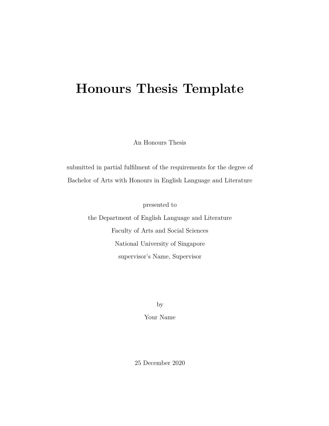# **Honours Thesis Template**

An Honours Thesis

submitted in partial fulfilment of the requirements for the degree of Bachelor of Arts with Honours in English Language and Literature

presented to

the Department of English Language and Literature Faculty of Arts and Social Sciences National University of Singapore supervisor's Name, Supervisor

by

Your Name

25 December 2020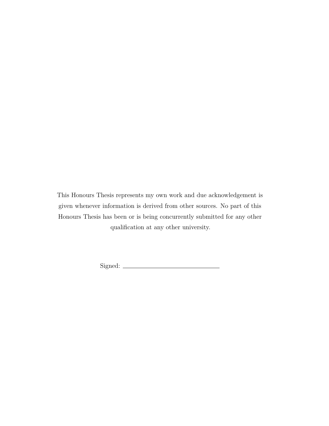This Honours Thesis represents my own work and due acknowledgement is given whenever information is derived from other sources. No part of this Honours Thesis has been or is being concurrently submitted for any other qualification at any other university.

Signed: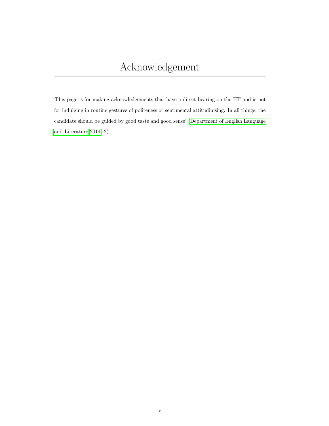<span id="page-4-0"></span>'This page is for making acknowledgements that have a direct bearing on the HT and is not for indulging in routine gestures of politeness or sentimental attitudinising. In all things, the candidate should be guided by good taste and good sense' [\(Department of English Language](#page-14-0) [and Literature 2014:](#page-14-0) 2).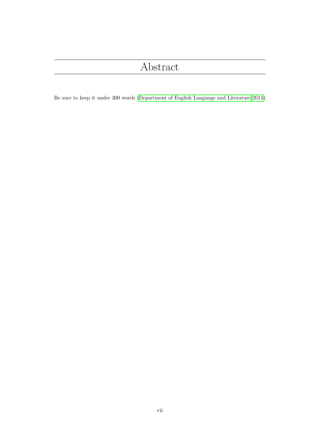<span id="page-6-0"></span>Be sure to keep it under 300 words [\(Department of English Language and Literature 2014\)](#page-14-0).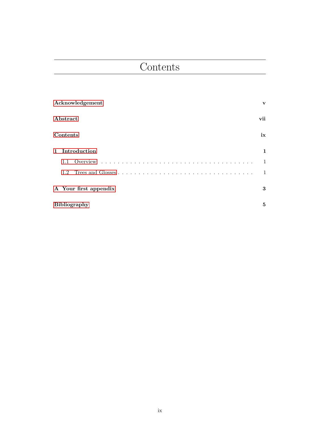## Contents

<span id="page-8-0"></span>

| Acknowledgement<br>Abstract |                       | $\mathbf{v}$ |
|-----------------------------|-----------------------|--------------|
|                             |                       | vii          |
|                             | Contents              |              |
|                             | 1 Introduction        | 1            |
|                             |                       | 1            |
|                             | 1.2                   |              |
|                             | A Your first appendix | 3            |
|                             | <b>Bibliography</b>   |              |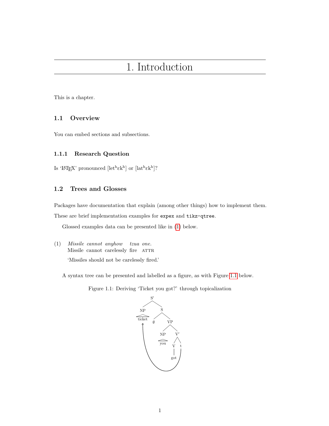### 1. Introduction

<span id="page-10-0"></span>This is a chapter.

#### <span id="page-10-1"></span>**1.1 Overview**

You can embed sections and subsections.

#### **1.1.1 Research Question**

Is 'L'IEX' pronounced [let<sup>h</sup> $\epsilon$ k<sup>h</sup>] or [lat<sup>h</sup> $\epsilon$ k<sup>h</sup>]?

#### <span id="page-10-2"></span>**1.2 Trees and Glosses**

Packages have documentation that explain (among other things) how to implement them.

These are brief implementation examples for expex and tikz-qtree.

Glossed examples data can be presented like in [\(1\)](#page-10-2) below.

(1) *Missile cannot anyhow* Missile cannot carelessly fire ATTR *tzua one.* 'Missiles should not be carelessly fired.'

A syntax tree can be presented and labelled as a figure, as with Figure [1.1](#page-10-3) below.

Figure 1.1: Deriving 'Ticket you got?' through topicalization

<span id="page-10-3"></span>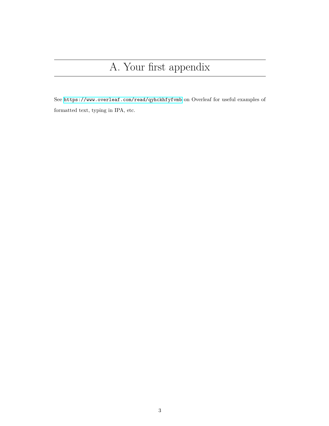# A. Your first appendix

<span id="page-12-0"></span>See <https://www.overleaf.com/read/qyhckhfyfvmb> on Overleaf for useful examples of formatted text, typing in IPA, etc.